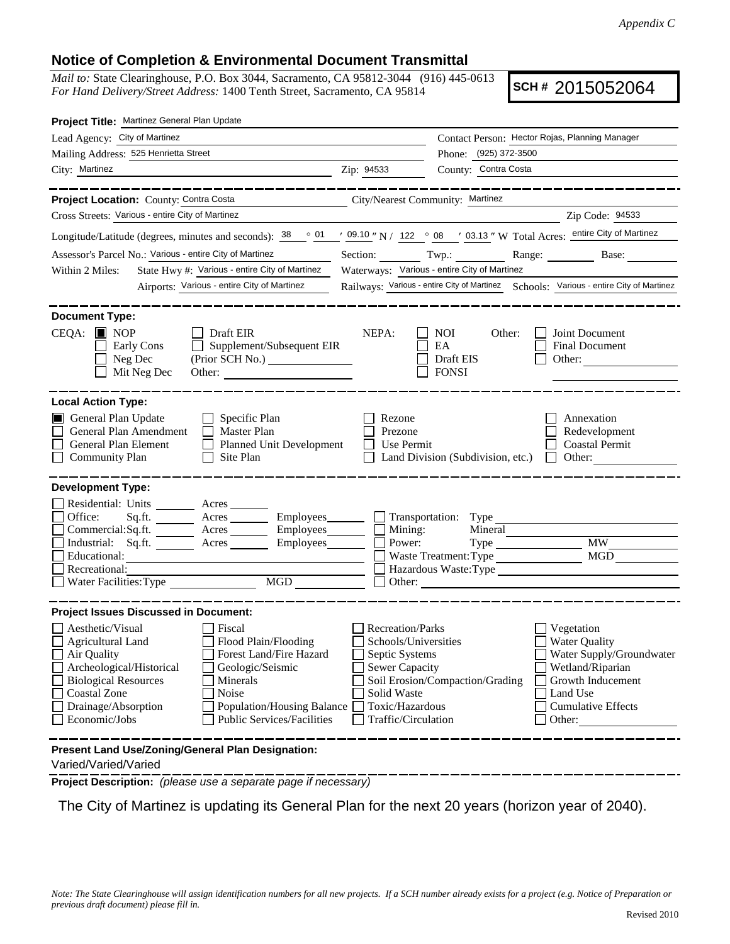## **Notice of Completion & Environmental Document Transmittal**

*Mail to:* State Clearinghouse, P.O. Box 3044, Sacramento, CA 95812-3044 (916) 445-0613 *For Hand Delivery/Street Address:* 1400 Tenth Street, Sacramento, CA 95814

**SCH #** 2015052064

| Project Title: Martinez General Plan Update                                                                                           |                                                                                                                                    |  |  |
|---------------------------------------------------------------------------------------------------------------------------------------|------------------------------------------------------------------------------------------------------------------------------------|--|--|
| Lead Agency: City of Martinez                                                                                                         | Contact Person: Hector Rojas, Planning Manager                                                                                     |  |  |
| Mailing Address: 525 Henrietta Street                                                                                                 | Phone: (925) 372-3500                                                                                                              |  |  |
| City: Martinez<br><u> 1989 - Johann Stein, mars eta industrial eta industrial eta industrial eta industrial eta industrial eta in</u> | County: Contra Costa<br>Zip: 94533                                                                                                 |  |  |
| ________                                                                                                                              |                                                                                                                                    |  |  |
| Project Location: County: Contra Costa                                                                                                | City/Nearest Community: Martinez                                                                                                   |  |  |
| Cross Streets: Various - entire City of Martinez                                                                                      | Zip Code: 94533                                                                                                                    |  |  |
|                                                                                                                                       | Longitude/Latitude (degrees, minutes and seconds): 38 ° 01 ′ 09.10 ″ N / 122 ° 08 ′ 03.13 ″ W Total Acres: entire City of Martinez |  |  |
| Assessor's Parcel No.: Various - entire City of Martinez                                                                              | Section: Twp.: Range: Base:                                                                                                        |  |  |
| State Hwy #: Various - entire City of Martinez<br>Within 2 Miles:                                                                     | Waterways: Various - entire City of Martinez                                                                                       |  |  |
| Airports: Various - entire City of Martinez                                                                                           | Railways: Various - entire City of Martinez Schools: Various - entire City of Martinez                                             |  |  |
|                                                                                                                                       |                                                                                                                                    |  |  |
| <b>Document Type:</b>                                                                                                                 |                                                                                                                                    |  |  |
| $CEQA:$ MOP<br>Draft EIR                                                                                                              | NEPA:<br>NOI<br>Other:<br>Joint Document                                                                                           |  |  |
| Supplement/Subsequent EIR<br>Early Cons                                                                                               | EA<br><b>Final Document</b>                                                                                                        |  |  |
| Neg Dec                                                                                                                               | Draft EIS<br>Other:                                                                                                                |  |  |
| Mit Neg Dec<br>Other: $\qquad \qquad$                                                                                                 | <b>FONSI</b>                                                                                                                       |  |  |
| <b>Local Action Type:</b>                                                                                                             |                                                                                                                                    |  |  |
| General Plan Update<br>$\Box$ Specific Plan                                                                                           | Annexation<br>Rezone                                                                                                               |  |  |
| General Plan Amendment<br><b>Master Plan</b><br>$\Box$                                                                                | Prezone<br>Redevelopment                                                                                                           |  |  |
| General Plan Element<br>Planned Unit Development                                                                                      | Use Permit<br><b>Coastal Permit</b>                                                                                                |  |  |
| <b>Community Plan</b><br>Site Plan                                                                                                    | Land Division (Subdivision, etc.) $\Box$<br>Other:                                                                                 |  |  |
|                                                                                                                                       |                                                                                                                                    |  |  |
| <b>Development Type:</b>                                                                                                              |                                                                                                                                    |  |  |
| Residential: Units ________ Acres _______                                                                                             |                                                                                                                                    |  |  |
| Office:<br>Sq.fit.                                                                                                                    | Acres ________ Employees ________ Transportation: Type                                                                             |  |  |
| Commercial:Sq.ft. ________ Acres _________ Employees______                                                                            | Mining:<br>Mineral                                                                                                                 |  |  |
| Industrial: Sq.ft. Acres<br>Employees<br>Educational:                                                                                 | <b>MW</b><br>Power:<br><b>MGD</b><br>Waste Treatment: Type                                                                         |  |  |
| Recreational:                                                                                                                         | Hazardous Waste:Type                                                                                                               |  |  |
|                                                                                                                                       | Other:                                                                                                                             |  |  |
|                                                                                                                                       |                                                                                                                                    |  |  |
| <b>Project Issues Discussed in Document:</b>                                                                                          |                                                                                                                                    |  |  |
| Aesthetic/Visual<br>  Fiscal                                                                                                          | Recreation/Parks<br>Vegetation                                                                                                     |  |  |
| Flood Plain/Flooding<br><b>Agricultural Land</b>                                                                                      | Schools/Universities<br><b>Water Quality</b>                                                                                       |  |  |
| Forest Land/Fire Hazard<br>Air Quality                                                                                                | Septic Systems<br>Water Supply/Groundwater                                                                                         |  |  |
| Archeological/Historical<br>Geologic/Seismic                                                                                          | <b>Sewer Capacity</b><br>Wetland/Riparian                                                                                          |  |  |
| <b>Biological Resources</b><br>Minerals                                                                                               | Soil Erosion/Compaction/Grading<br>Growth Inducement                                                                               |  |  |
| <b>Coastal Zone</b><br>Noise                                                                                                          | Solid Waste<br>Land Use<br><b>Cumulative Effects</b>                                                                               |  |  |
| Drainage/Absorption<br>Population/Housing Balance<br><b>Public Services/Facilities</b><br>Economic/Jobs                               | Toxic/Hazardous<br>Traffic/Circulation<br>Other:                                                                                   |  |  |
|                                                                                                                                       |                                                                                                                                    |  |  |
| Present Land Use/Zoning/General Plan Designation:                                                                                     |                                                                                                                                    |  |  |
| Varied/Varied/Varied                                                                                                                  |                                                                                                                                    |  |  |

**Project Description:** *(please use a separate page if necessary)*

The City of Martinez is updating its General Plan for the next 20 years (horizon year of 2040).